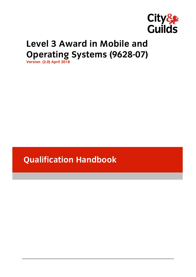

# Level 3 Award in Mobile and **Operating Systems (9628-07) Version (2.0) April 2018**

**Qualification Handbook**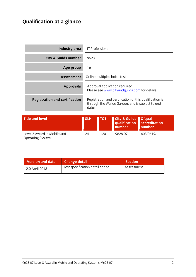## **Qualification at a glance**

| <b>Industry area</b>                                    |            | <b>IT Professional</b> |                                                                                                             |                                          |
|---------------------------------------------------------|------------|------------------------|-------------------------------------------------------------------------------------------------------------|------------------------------------------|
| <b>City &amp; Guilds number</b>                         | 9628       |                        |                                                                                                             |                                          |
| Age group                                               | $16+$      |                        |                                                                                                             |                                          |
| <b>Assessment</b>                                       |            |                        | Online multiple choice test                                                                                 |                                          |
| <b>Approvals</b>                                        |            |                        | Approval application required.<br>Please see www.cityandguilds.com for details.                             |                                          |
| <b>Registration and certification</b>                   | dates.     |                        | Registration and certification of this qualification is<br>through the Walled Garden, and is subject to end |                                          |
| <b>Title and level</b>                                  | <b>GLH</b> | <b>TQT</b>             | <b>City &amp; Guilds</b><br>qualification<br>number                                                         | <b>Ofqual</b><br>accreditation<br>number |
| Level 3 Award in Mobile and<br><b>Operating Systems</b> | 24         | 120                    | 9628-07                                                                                                     | 603/0619/1                               |

| Version and date | <b>Change detail</b>            | <b>Section</b> |
|------------------|---------------------------------|----------------|
| 2.0 April 2018   | Test specification detail added | Assessment     |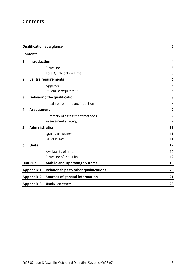## **Contents**

|              |                     | <b>Qualification at a glance</b>             | $\overline{2}$          |
|--------------|---------------------|----------------------------------------------|-------------------------|
|              | <b>Contents</b>     |                                              | $\overline{\mathbf{3}}$ |
| 1            | <b>Introduction</b> |                                              | $\overline{\mathbf{4}}$ |
|              |                     | Structure                                    | 5                       |
|              |                     | <b>Total Qualification Time</b>              | 5                       |
| $\mathbf{2}$ |                     | <b>Centre requirements</b>                   | 6                       |
|              |                     | Approval                                     | 6                       |
|              |                     | Resource requirements                        | 6                       |
| 3            |                     | Delivering the qualification                 | 8                       |
|              |                     | Initial assessment and induction             | 8                       |
| 4            | <b>Assessment</b>   |                                              | 9                       |
|              |                     | Summary of assessment methods                | 9                       |
|              |                     | Assessment strategy                          | 9                       |
| 5            | Administration      |                                              | 11                      |
|              |                     | Quality assurance                            | 11                      |
|              |                     | Other issues                                 | 11                      |
| 6            | <b>Units</b>        |                                              | 12                      |
|              |                     | Availability of units                        | 12                      |
|              |                     | Structure of the units                       | 12                      |
|              | <b>Unit 307</b>     | <b>Mobile and Operating Systems</b>          | 13                      |
|              | <b>Appendix 1</b>   | <b>Relationships to other qualifications</b> | 20                      |
|              | <b>Appendix 2</b>   | <b>Sources of general information</b>        | 21                      |
|              | <b>Appendix 3</b>   | <b>Useful contacts</b>                       | 23                      |
|              |                     |                                              |                         |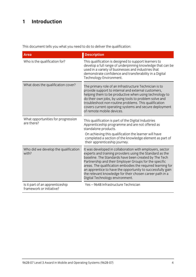## **1 Introduction**

This document tells you what you need to do to deliver the qualification:

| <b>Area</b>                                                 | <b>Description</b>                                                                                                                                                                                                                                                                                                                                                                                                                                                  |
|-------------------------------------------------------------|---------------------------------------------------------------------------------------------------------------------------------------------------------------------------------------------------------------------------------------------------------------------------------------------------------------------------------------------------------------------------------------------------------------------------------------------------------------------|
| Who is the qualification for?                               | This qualification is designed to support learners to<br>develop a full range of underpinning knowledge that can be<br>used in a variety of businesses and industries that<br>demonstrate confidence and transferability in a Digital<br>Technology Environment.                                                                                                                                                                                                    |
| What does the qualification cover?                          | The primary role of an Infrastructure Technician is to<br>provide support to internal and external customers,<br>helping them to be productive when using technology to<br>do their own jobs, by using tools to problem solve and<br>troubleshoot non-routine problems. This qualification<br>covers current operating systems and secure deployment<br>of remote mobile devices.                                                                                   |
| What opportunities for progression<br>are there?            | This qualification is part of the Digital Industries<br>Apprenticeship programme and are not offered as<br>standalone products.<br>On achieving this qualification the learner will have<br>completed a section of the knowledge element as part of<br>their apprenticeship journey.                                                                                                                                                                                |
| Who did we develop the qualification<br>with?               | It was developed in collaboration with employers, sector<br>experts and training providers using the Standard as the<br>baseline. The Standards have been created by The Tech<br>Partnership and their Employer Groups for the specific<br>areas. The qualification embodies the required learning for<br>an apprentice to have the opportunity to successfully gain<br>the relevant knowledge for their chosen career path in a<br>Digital Technology environment. |
| Is it part of an apprenticeship<br>framework or initiative? | Yes-9648 Infrastructure Technician                                                                                                                                                                                                                                                                                                                                                                                                                                  |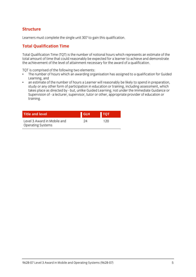# **Structure**

Learners must complete the single unit 307 to gain this qualification.

# **Total Qualification Time**

Total Qualification Time (TQT) is the number of notional hours which represents an estimate of the the achievement of the level of attainment necessary for the award of a qualification. the achievement of the level of attainment necessary for the award of a qualification.

- TQT is comprised of the following two elements:<br>• The number of hours which an awarding organisation has assigned to a qualification for Guided Learning, and
- an estimate of the number of hours a Learner will reasonably be likely to spend in preparation,  $\bullet$ study or any other form of participation in education or training, including assessment, which takes place as directed by - but, unlike Guided Learning, not under the Immediate Guidance or takes place as directed by  $\frac{1}{2}$  - but, under the Immediate Guided Construction or under the Immediate Guidance or under the Immediate or under the Immediate Guidance or under the Immediate or under the Immediate or un Supervision of - a leading provider or other, supervisor, the provider or other, and the education or other, a<br>Training training.

| <b>Title and level</b>                                  | <b>GLH</b> | <b>TOT</b> |  |
|---------------------------------------------------------|------------|------------|--|
| Level 3 Award in Mobile and<br><b>Operating Systems</b> | 24         | 120        |  |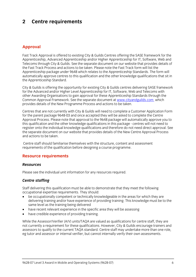### $\overline{2}$ **2 Centre requirements**

## **Approval**

Fast Track Approval is offered to existing City & Guilds Centres offering the SASE framework for the<br>Apprenticeship, Advanced Apprenticeship and/or Higher Apprenticeship for IT, Software, Web and Telecoms through City & Guilds. See the separate document on our website that provides details of the Fast Track Process and actions to be taken. Please note the Fast Track form will list the Apprenticeship package under 9648 which relates to the Apprenticeship Standards. The form will automatically approve centres to this qualification and the other knowledge qualifications that sit in the Apprenticeship Standard. the Apprenticeship Standard.

City & Guilds is offering the opportunity for existing City & Guilds centres delivering SASE framework for the Advanced and/or Higher Level Apprenticeship for IT, Software, Web and Telecoms with other Awarding Organisations to gain approval for these Apprenticeship Standards through the Common Approval Framework. See the separate document at www.cityandguilds.com which Common Apple Framework. See the separate document at the separate document at the separate document at which is<br>Interviewed at a which we have a window which we have a window which we have a window which we have a window w provides details of the New Programme Process and actions to be taken.

Centres that are not currently with City & Guilds will need to complete a Customer Application Form Approval Process. Please note that approval to the 9648 package will automatically approve you to this qualification and the other knowledge qualifications in this package - centres will not need to register onto the individual knowledge qualifications and therefore do not need direct approval. See the separate document on our website that provides details of the New Centre Approval Process and actions to be taken and actions to be taken.

Centre staff should familiarise themselves with the structure, content and assessment requirements of the qualification before designing a course programme. requirements of the qualification before designing a course programme.

### **Resource requirements**

#### **Resources** *Resources*

Please see the individual unit information for any resources required.

### *Centre staffing*

Staff delivering this qualification must be able to demonstrate that they meet the following occupational expertise requirements. They should:

- be occupationally competent or technically knowledgeable in the areas for which they are delivering training and/or have experience of providing training. This knowledge must be to the same level as the training being delivered
- have recent relevant experience in the specific area they will be assessing<br>• have credible experience of providing training
- have credible experience of providing training.

While the Assessor/Verifier (A/V) units/TAQA are valued as qualifications for centre staff, they are not currently a requirement for these qualifications. However, City & Guilds encourage trainers and assessors to qualify to the current TAOA standard. Centre staff may undertake more than one role, eg tutor and assessor or internal verifier, but cannot internally verify their own assessments. eg tutor and assessor or internal verifier, but cannot internally verify their own assessments.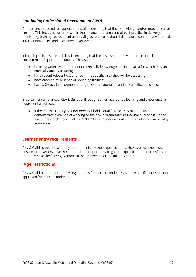## *Continuing Professional Development (CPD)*

Centres are expected to support their staff in ensuring that their knowledge and/or practice remains current. This includes currency within the occupational area and of best practice in delivery. mentoring, training, assessment and quality assurance. It should also take account of any national, international policy and legislative developments. international policy and legislative developments.

Internal quality assurance is key to ensuring that the assessment of evidence for units is of consistent and appropriate  $\frac{1}{2}$  should: They should: They should: They should: They should: They should: They should: They should: They should: They should: They should: They should: They should: They should: They sho

- be occupationally competent or technically knowledgeable in the area for which they are
- have recent relevant experience in the specific area they will be assessing<br>• have credible experience of providing training
- have credible experience of providing training
- have a CV available demonstrating relevant experience and any qualifications held.

In certain circumstances, City & Guilds will recognise non-accredited learning and experience as equivalent as follows:

If the Internal Quality Assurer does not hold a qualification they must be able to<br>demonstrate evidence of working to their own organisation's internal quality assurance standards which clearly link to V1/TAOA or other equivalent standards for internal quality standards which clearly link to V1/TAQA or other equivalent standards for internal quality.<br>ASSUIFANCE assurance.

### **Learner entry requirements**

City & Guilds does not set entry requirements for these qualifications. However, centres must ensure that learners have the potential and opportunity to gain the qualifications successfully and that they have the full engagement of the employers for the full programme.  $t_{\rm t}$  that the employers for the full programme.

# **Age restrictions**

city is guilds cannot accept any registrations for rearners under 16 as these qualifications are not approved for learners under 16.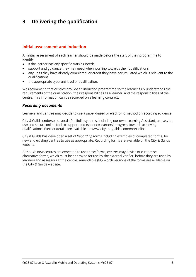### $\mathbf{3}$ **3 Delivering the qualification**

#### Initial assessment and induction **Initial assessment and induction**

An initial assessment of each learner should be made before the start of their programme to identify:

- $\bullet$  if the learner has any specific training needs<br>  $\bullet$  sunnort and quidance they may need when
- support and guidance they may need when working towards their qualifications
- any units they have already completed, or credit they have accumulated which is relevant to the
- $\bullet$  the appropriate type and level of qualification.

We recommend that centres provide an induction programme so the learner fully understands the requirements of the qualification, their responsibilities as a learner, and the responsibilities of the centre. This information can be recorded on a learning contract. centre. This information can be recorded on a learning contract.

## *Recording documents*

Learners and centres may decide to use a paper-based or electronic method of recording evidence.

City & Guilds endorses several ePortfolio systems, including our own, Learning Assistant, an easy-to-<br>use and secure online tool to support and evidence learners' progress towards achieving qualifications. Further details are available at: www.cityandguilds.com/eportfolios.  $q_1$  is a complete at  $\cdots$  are available at: when  $q_1$  and  $q_2$  at  $\cdots$  epoch.com/epoch.com/epoch.com/epoch.com/epoch.com/epoch.com/epoch.com/epoch.com/epoch.com/epoch.com/epoch.com/epoch.com/epoch.com/epoch.com/epoc

City & Guilds has developed a set of *Recording forms* including examples of completed forms, for new and existing centres to use as appropriate. Recording forms are available on the City & Guilds website.

Although new centres are expected to use these forms, centres may devise or customise<br>alternative forms, which must be approved for use by the external verifier, before they are used by learners and assessors at the centre. Amendable (MS Word) versions of the forms are available on the City & Guilds website.  $t_{\rm t}$  the City website.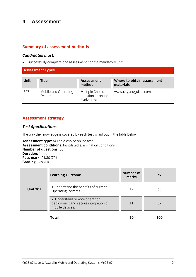### $\overline{\mathbf{4}}$ **4 Assessment**

### **Summary of assessment methods**

*Candidates must:* successfully complete one assessment for the mandatory unit

### **Assessment Types**

| <b>Unit</b> | Title                           | <b>Assessment</b><br>method                           | Where to obtain assessment<br>materials |
|-------------|---------------------------------|-------------------------------------------------------|-----------------------------------------|
| 307         | Mobile and Operating<br>Systems | Multiple Choice<br>questions - online<br>Evolve test. | www.cityandguilds.com                   |

### **Assessment strategy**

#### *Test Specifications*

The way the knowledge is covered by each test is laid out in the table below:<br> **Assessment type:** Multiple-choice online test

Assessment conditions: Invigilated examination conditions **Number of questions: 30 Duration: 1 hour Pass mark:** 21/30 (70%) **Grading: Pass/Fail Grading:** Pass/Fail

|                 | <b>Learning Outcome</b>                                                                    | <b>Number of</b><br>marks | %     |
|-----------------|--------------------------------------------------------------------------------------------|---------------------------|-------|
| <b>Unit 307</b> | 1. Understand the benefits of current<br><b>Operating Systems</b>                          | 19                        | 63    |
|                 | 2. Understand remote operation,<br>deployment and secure integration of<br>mobile devices. | 11                        | 37    |
|                 | .                                                                                          | $\mathbf{A}$              | 4 A A |

**Total 30 100**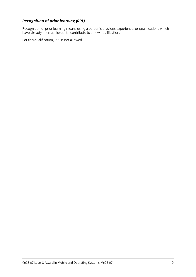**Recognition of prior learning (RPL)**<br>Recognition of prior learning means using a person's previous experience, or qualifications which Recognition of prior learning means using a person's previous experience, or qualifications which have a recogni have already been achieved, to contribute to a new qualification.

For this qualification, RPL is not allowed.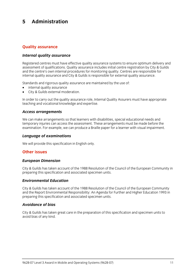#### 5 Administration **5 Administration**

# **Quality assurance**

### *Internal quality assurance*

Registered centres must have effective quality assurance systems to ensure optimum delivery and<br>assessment of qualifications. Quality assurance includes initial centre registration by City & Guilds and the centre's own internal procedures for monitoring quality. Centres are responsible for internal quality assurance and City & Guilds is responsible for external quality assurance. internal quality assurance and City & Guilds is responsible for external quality assurance.

- $\bullet$  internal quality assurance<br>  $\bullet$  City & Guilds external moderation
- City & Guilds external moderation.

In order to carry out the quality assurance role, Internal Quality Assurers must have appropriate teaching and vocational knowledge and expertise. teaching and vocational knowledge and expertise.

## *Access arrangements*

We can make arrangements so that learners with disabilities, special educational needs and<br>temporary injuries can access the assessment. These arrangements must be made before the  $\frac{1}{2}$  in  $\frac{1}{2}$  is the cannon contract the assessment. The assessment of the arrangement of  $\frac{1}{2}$  arrangement of  $\frac{1}{2}$  arrangement of  $\frac{1}{2}$  arrangement of  $\frac{1}{2}$  arrangement of  $\frac{1}{2}$  arrangement examination. For example, we can produce a Braille paper for a learner with visual impairment.

## *Language of examinations*

 $\mathbb{R}^n$  will provide this specification in Eq. (

## **Other issues**

## *European Dimension*

City & Guilds has taken account of the 1988 Resolution of the Council of the European Community in preparing this specification and associated specimen units. preparing this specification and associated specimen units.

## *Environmental Education*

City & Guilds has taken account of the 1988 Resolution of the Council of the European Community preparing this specification and associated specimen units. preparing this specification and associated specimen units.

#### **Avoidance of bias** *Avoidance of bias*

City & Guilds has taken great care in the preparation of this specification and specimen units to avoid bias of any kind.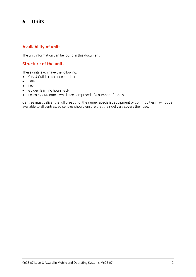#### 6 **Units 6 Units**

## **Availability of units**

The unit information can be found in this document.

## **Structure of the units**

- $\bullet$  City & Guilds reference number
- $\bullet$  Title
- **•** Level<br>• Guide
- Guided learning hours (GLH)
- 

• Learning outcomes, which are comprised of a number of topics<br>Centres must deliver the full breadth of the range. Specialist equipment or commodities may not be centres must demite the functionality of the range oppositive equipment of commodities may not be available to all centres, so centres should ensure that their delivery covers their use.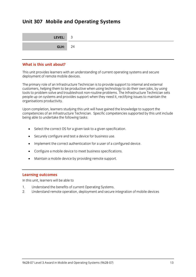## **Unit 307 Mobile and Operating Systems**

| LEVEL: 3       |  |
|----------------|--|
| <b>GLH:</b> 24 |  |

#### What is this unit about? **What is this unit about?**

This unit provides learners with an understanding of current operating systems and secure deployment of remote mobile devices.

The primary role of an Infrastructure Technician is to provide support to internal and external<br>customers, helping them to be productive when using technology to do their own jobs, by using tools to problem solve and troubleshoot non-routine problems. The Infrastructure Technician sets people up on systems and provides support when they need it, rectifying issues to maintain the people up to systems and provides support when they need it, rectifying iterations to maintain the maintain the<br>Organisations productivity organisations productivity.

Upon completion, learners studying this unit will have gained the knowledge to support the<br>competencies of an Infrastructure Technician. Specific competencies supported by this unit include being able to undertake the following tasks: being able to undertake the following tasks:

- Select the correct OS for a given task to a given specification.
- Securely configure and test a device for business use.
- Implement the correct authentication for a user of a configured device.
- Configure a mobile device to meet business specifications.
- Maintain a mobile device by providing remote support.

**Learning outcomes**<br>In this unit. learners will be able to In this unit, learners will be able to

- 
- 1. Understand remarks operation deployment and cocurrent 2. Understand remote operation, deployment and secure integration of mobile devices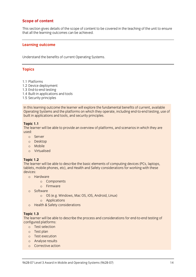## **Scope of content**

This section gives details of the scope of content to be covered in the teaching of the unit to ensure that all the learning outcomes can be achieved. that all the learning outcomes can be achieved.

#### **Learning outcome**

Understand the benefits of current Operating Systems.

### **Topics**

- 1.1 Platforms
- 1.2 Device deployment
- 1.3 End-to-end testing
- 1.4 Built-in applications and tools
- 1.5 Security principles  $\frac{1}{2}$  security principles by principal security principal security principal security principal security principal security principal security principal security principal security principal security principal securit

In this learning outcome the learner will explore the fundamental benefits of current, available<br>Operating Systems and the platforms on which they operate, including end-to-end testing, use of  $\frac{1}{2}$  operations and tools and security principles built in applications and tools, and security principles.

**The learne**  $H_{\text{N}}$  is a overview of  $\mathbb{R}^n$  and scenarios in  $\mathbb{R}^n$  are an overview of  $\mathbb{R}^n$  are are are are are are associated the  $\mathbb{R}^n$  are associated the  $\mathbb{R}^n$  are are associated to  $\mathbb{R}^n$  are associat

- o Server
	- <sup>o</sup> Desktop
	- <sup>o</sup> Mobile
	- <sup>o</sup> Virtualised

**Topic 1.2**<br>The learner will be able to describe the basic elements of computing devices (PCs, laptops, tablets, mobile phones, etc), and Health and Safety considerations for working with these  $t_{\rm F}$  models, and Health and  $H_{\rm F}$  and  $H_{\rm F}$  and  $H_{\rm F}$  considerations for which  $\frac{1}{2}$ 

- o Hardware
	- <sup>o</sup> Components
	- <sup>o</sup> Firmware
	- <sup>o</sup> Software
		- <sup>o</sup> OS (e.g. Windows, Mac OS, iOS, Android, Linux)
		- <sup>o</sup> Applications
	- <sup>o</sup> Health & Safety considerations

**Topic 1.3**<br>The learner will be able to describe the process and considerations for end-to-end testing of configured platforms:

- o Test selection
	- <sup>o</sup> Test plan
	- <sup>o</sup> Test execution
	- <sup>o</sup> Analyse results
	- <sup>o</sup> Corrective action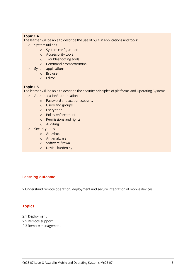**The learne**  $\sum_{i=1}^n$   $\frac{1}{n}$  be able to describe the use of  $\frac{1}{n}$  in a point-in applications and tools:

- <sup>o</sup> System utilities
	- <sup>o</sup> System configuration
	- <sup>o</sup> Accessibility tools
	- <sup>o</sup> Troubleshooting tools
	- <sup>o</sup> Command prompt/terminal
- <sup>o</sup> System applications
	- <sup>o</sup> Browser
	- <sup>o</sup> Editor

**Topic 1.5**<br>The learner will be able to describe the security principles of platforms and Operating Systems:

- o Authentication/authorisation<br>
o Authentication/authorisation<br>
o Bassword and assount sosurity
	- <sup>o</sup> Password and account security
	- <sup>o</sup> Users and groups
	- <sup>o</sup> Encryption
	- <sup>o</sup> Policy enforcement
	- <sup>o</sup> Permissions and rights
	- <sup>o</sup> Auditing
	- <sup>o</sup> Security tools
		- <sup>o</sup> Antivirus
		- <sup>o</sup> Anti-malware
		- <sup>o</sup> Software firewall
		- <sup>o</sup> Device hardening

#### **Learning outcome**

2 Understand remote operation, deployment and secure integration of mobile devices

### **Topics**

- 
- 2.1 Deployment<br>2.2 Remote support
- 2.2 Remote support  $\overline{c}$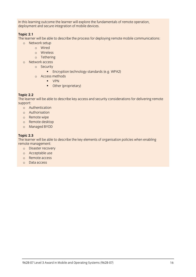$I$  deployment and secure integration of mobile devices  $\alpha$  is an and secure integration of mobile devices.

**Topic 2.1**<br>The learner will be able to describe the process for deploying remote mobile communications: o Network setup<br>
o Network setup

- - <sup>o</sup> Wired
	- <sup>o</sup> Wireless
	- <sup>o</sup> Tethering
- <sup>o</sup> Network access
	- <sup>o</sup> Security
		- **Encryption technology standards (e.g. WPA2)**
	- <sup>o</sup> Access methods
		- **•** VPN
		- Other (proprietary)

**Topic 2.2** The learner will be able to describe key access and security considerations for delivering remote

- support: <sup>o</sup> Authentication
	- <sup>o</sup> Authorisation
	- <sup>o</sup> Remote wipe
	- <sup>o</sup> Remote desktop
	- <sup>o</sup> Managed BYOD

**Topic 2.3**<br>The learner will be able to describe the key elements of organisation policies when enabling remote management:

- remote management: <sup>o</sup> Disaster recovery
	- <sup>o</sup> Acceptable use
	- <sup>o</sup> Remote access
	- <sup>o</sup> Data access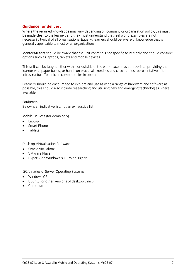**Guidance for delivery**<br>Where the required knowledge may vary depending on company or organisation policy, this must be made clear to the learner, and they must understand that real world examples are not necessarily typical of all organisations. Equally, learners should be aware of knowledge that is necessarily typical of all organisations. Equally, learners should be annual should be awards.<br>Generally anniicable to most or all organisations. generally applicable to most or all organisations.

Mentors/tutors should be aware that the unit content is not specific to PCs only and should consider options such as laptops, tablets and mobile devices. options such as laptops, tablets and mobile devices.

This unit can be taught either within or outside of the workplace or as appropriate, providing the learner with paper based, or hands on practical exercises and case studies representative of the Infrastructure Technician competencies in operation. Infrastructure Technician competencies in operation.

Learners should be encouraged to explore and use as wide a range of hardware and software as<br>possible, this should also include researching and utilising new and emerging technologies where possible, this showled research also include  $\frac{1}{2}$  and utilizing  $\frac{1}{2}$  and  $\frac{1}{2}$  and  $\frac{1}{2}$  and  $\frac{1}{2}$  and  $\frac{1}{2}$  and  $\frac{1}{2}$  and  $\frac{1}{2}$  and  $\frac{1}{2}$  and  $\frac{1}{2}$  and  $\frac{1}{2}$  and  $\frac{1}{2}$  an available.

Equipment<br>Below is an indicative list, not an exhaustive list. Below is an indicative list, not an exhaustive list.

- o Laptop<br>
Smart Phones
- Smart Phones
- Tablets

- **Desktop With Software Software**<br> **Oracle VirtualBox**<br> **COMMATE Player**
- VMWare Player
- Hyper-V on Windows 8.1 Pro or Higher

- 
- **ISO/binaries of Server Operating Systems**<br> **ISO/Binaries of Systems**<br> **CO** Libraries (Contains the Mercian of deckton) Ubuntu (or other versions of desktop Linux)
- Chromium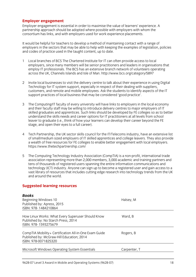**Employer engagement**<br>
Employer engagement is essential in order to maximise the value of learners' experience. A partnership approach should be adopted where possible with employers with whom the consortium has links, and with employers used for work experience placements. construction has links, and with employers used for which employers used for which experience placements.

It would be helpful for teachers to develop a method of maintaining contact with a range of employers in the sectors that may be able to help with keeping the examples of legislation, policies and codes of practice used in the taught content, up to date. and codes of practice used in the taught content, up to date.

- 1 Local branches of BCS The Chartered Institute for IT can often provide access to local employ IT professionals. The BCS has an extensive branch network of volunteers operating across the UK, Channels Islands and Isle of Man. http://www.bcs.org/category/5897 across the UK, Channels Islands and Islands and Islands and Islands and Islands and Islands and Islands and Is
- 2 Invite local businesses to visit the delivery centre to talk about their experience in using Digital customers, and remote and mobile employees. Ask the students to identify aspects of the IT customers, and remote and mobile employees. Ask the students to identify aspects of the IT  $s_{\rm c}$  and the local business that may be considered that may be considered that  $\frac{1}{2}$
- 3 The Computing/IT faculty of every university will have links to employers in the local economy and their faculty staff may be willing to introduce delivery centres to major employers of IT skilled graduates and apprentices. Such links should be developed by FE colleges so as to better understand the skills needs and career options for IT practitioners at all levels from school leaver to graduate (i.e., think of how your learners can develop their career beyond the FE stage, and open their eyes to a full career). stage, and open their eyes to a full career).
- $\overline{4}$ Tech Partnership, the UK sector skills council for the IT/Telecoms industry, have an extensive list<br>of small/medium sized employers of IT skilled apprentices and college leavers. They also provide a wealth of free resources for FE colleges to enable better engagement with local employers. https://www.thetechpartnership.com/ https://www.thetechpartnership.com/
- 5 The Computing Technology Industry Association (CompTIA) is a non-profit, international trade<br>association representing more than 2,000 members, 3,000 academic and training partners and tens of thousands of registered users spanning the entire information communications and technology (ICT) industry. Anyone can sign up to become a registered user and gain access to a vast library of resources that includes cutting edge research into technology trends from the UK and around the world. and around the world.

## **Suggested learning resources**

| <b>Books</b><br>Beginning Windows 10<br>Published by: Apress, 2015<br>ISBN: 978-1484210864                                 | Halsey, M    |
|----------------------------------------------------------------------------------------------------------------------------|--------------|
| How Linux Works: What Every Superuser Should Know<br>Published by: No Starch Press, 2014<br>ISBN: 978-1593275679           | Ward, B      |
| CompTIA Mobility+ Certification All-in-One Exam Guide<br>Published by: McGraw-Hill Education; 2014<br>ISBN: 978-0071825320 | Rogers, B    |
| Microsoft Windows Operating System Essentials                                                                              | Carpenter, T |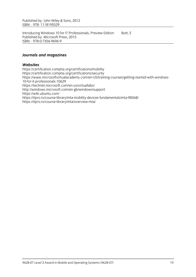Published by: John Wiley & Sons, 2012 ISBN: 978-011819529-011819529-011819529-011819-011819-011819-011819-011819-011819-011819-011819-011819-011819-<br>|-

Introducing Windows 10 for IT Professionals, Preview Edition Bott, E<br>Published by: Microsoft Press, 2015  $\text{ISBN} \cdot 978 - 0 - 7356 - 9696 - 9$ ISBN: : 978-0-7356-9696-9

### *Journals and magazines*

Websites<br>https://certification.comptia.org/certifications/mobility https://certification.comptia.org/certifications/security https://www.microsoftvirtualacademy.com/en-US/training-courses/getting-started-with-windows-10-for-it-professionals-10629 https://technet.microsoft.com/en-us/virtuallabs/ http://windows.microsoft.com/en-gb/windows/support https://wiki.ubuntu.com/ https://itpro.tv/course-library/mta-mobility-devices-fundamentals/mta-98368/  $\frac{m}{\pi}$ https://itpro.tv/course-library/mta/overview-mta/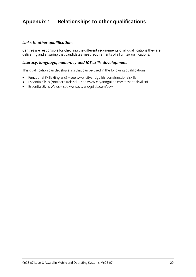## **Appendix 1 Relationships to other qualifications**

### *Links to other qualifications*

Centres are responsible for checking the different requirements of all units/qualifications they are delivering and ensuring that can deliver meet requirements of all units/qualifications.

#### *Literacy, language, numeracy and ICT skills development*

This qualification can develop skills that can be used in the following qualifications:

- Functional Skills (England) se[e www.](http://www.cityandguilds.com/functionalskills)[cityandguilds.com/functionalskills](http://www.cityandguilds.com/essentialskillsni)<br>● Fssential Skills (Northern Ireland) see www.cityandguilds.com/essentia
- Essential Skills (Northern Ireland) see www.cityandguilds.com/essentialskillsni<br>■ Essential Skills Wales see www.cityandguilds.com/esw
- Essential Skills Wales see [www.cityandguilds.com/esw](http://www.cityandguilds.com/esw)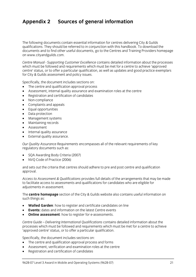## **Appendix 2 Sources of general information**

The following documents contain essential information for centres delivering City & Guilds qualifications. They should be referred to in conjunction with this handbook. To download the documents and to find other useful documents, go to the Centres and Training Providers homepage on www.cityandguilds.com.  $\frac{1}{2}$  and  $\frac{1}{2}$ 

*Centre Manual - Supporting Customer Excellence* contains detailed information about the processes centre' status, or to offer a particular qualification, as well as updates and good practice exemplars for City & Guilds assessment and policy issues. for City & Guilds assessment and policy issues.

- The centre and qualification approval process<br>• Assessment internal quality assurance and ex
- Assessment, internal quality assurance and examination roles at the centre
- Registration and certification of candidates
- Non-compliance
- Complaints and appeals
- Equal opportunities
- Data protection
- Management systems
- Maintaining records
- Assessment
- Internal quality assurance
- External quality assurance.

*Our Quality Assurance Requirements* encompasses all of the relevant requirements of key regulatory documents such as:

- SQA Awarding Body Criteria (2007)
- NVQ Code of Practice (2006)

and sets out the criteria that centres should adhere to pre and post centre and qualification approval. approval.

*Access to Assessment & Qualifications* provides full details of the arrangements that may be made adiustments in assessment. adjustments in assessment.

The **centre homepage** section of the City & Guilds website also contains useful information on  $\mathbf{S}$ 

- **Walled Garden**: how to register and certificate candidates on line
- **Events:** dates and information on the latest Centre events
- **Online assessment**: how to register for e-assessments.

*Centre Guide – Delivering International Qualifications* contains detailed information about the processes which must be followed and requirements which must be checked and requirements of a centre to achieve<br>'annroved centre' status for to offer a narticular qualification 'approved centre' status, or to offer a particular qualification.

- The centre and qualification approval process and forms
- Assessment, verification and examination roles at the centre
- Registration and certification of candidates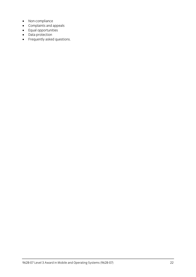- Non-compliance
- Complaints and appeals
- Equal opportunities
- Data protection
- Frequently asked questions.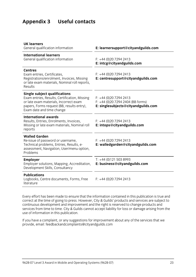# **Appendix 3 Useful contacts**

| <b>UK learners</b><br>General qualification information                                                                                                                                                    | E: learnersupport@cityandguilds.com                                                                 |
|------------------------------------------------------------------------------------------------------------------------------------------------------------------------------------------------------------|-----------------------------------------------------------------------------------------------------|
| <b>International learners</b><br>General qualification information                                                                                                                                         | $F: +44(0)2072942413$<br>E: intcg@cityandguilds.com                                                 |
| <b>Centres</b><br>Exam entries, Certificates,<br>Registrations/enrolment, Invoices, Missing<br>or late exam materials, Nominal roll reports,<br>Results                                                    | $F: +44(0)2072942413$<br>E: centresupport@cityandguilds.com                                         |
| <b>Single subject qualifications</b><br>Exam entries, Results, Certification, Missing<br>or late exam materials, Incorrect exam<br>papers, Forms request (BB, results entry),<br>Exam date and time change | $F: +44(0)2072942413$<br>$F: +44$ (0)20 7294 2404 (BB forms)<br>E: singlesubjects@cityandguilds.com |
| <b>International awards</b><br>Results, Entries, Enrolments, Invoices,<br>Missing or late exam materials, Nominal roll<br>reports                                                                          | $F: +44(0)2072942413$<br>E: intops@cityandguilds.com                                                |
| <b>Walled Garden</b><br>Re-issue of password or username,<br>Technical problems, Entries, Results, e-<br>assessment, Navigation, User/menu option,<br>Problems                                             | $F: +44(0)2072942413$<br>E: walledgarden@cityandguilds.com                                          |
| <b>Employer</b><br>Employer solutions, Mapping, Accreditation,<br>Development Skills, Consultancy                                                                                                          | $T: +44(0)1215038993$<br>E: business@cityandguilds.com                                              |
| <b>Publications</b><br>Logbooks, Centre documents, Forms, Free<br>literature                                                                                                                               | $F: +44(0)2072942413$                                                                               |

Every effort has been made to ensure that the information contained in this publication is true and correct at the time of going to press. However, City & Guilds' products and services are subject to continuous development and improvement and the right is reserved to change products and services from time to time. City  $\&$  Guilds cannot accept liability for loss or damage arising from the services from time to time. City & Guilds cannot accept liability for loss or damage arising from the use of information in this publication.

If you have a complete a complaint in the service and the services that we have a complete the services that we have a control of the services that we have a control of the services that we have a control of the services t provide, email[: feedbackandcomplaints@cityandguilds.com](http://feedbackandcomplaints@cityandguilds.com)